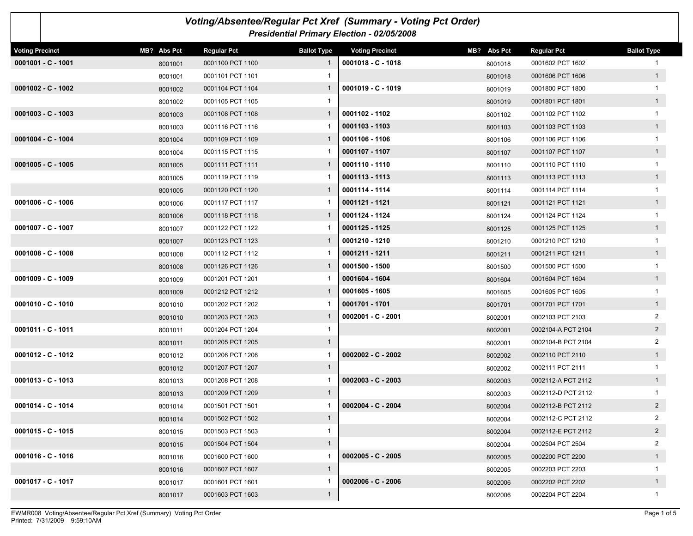| Voting/Absentee/Regular Pct Xref (Summary - Voting Pct Order)<br>Presidential Primary Election - 02/05/2008 |             |                    |                    |                        |             |                    |                    |  |  |
|-------------------------------------------------------------------------------------------------------------|-------------|--------------------|--------------------|------------------------|-------------|--------------------|--------------------|--|--|
| <b>Voting Precinct</b>                                                                                      | MB? Abs Pct | <b>Regular Pct</b> | <b>Ballot Type</b> | <b>Voting Precinct</b> | MB? Abs Pct | <b>Regular Pct</b> | <b>Ballot Type</b> |  |  |
| $0001001 - C - 1001$                                                                                        | 8001001     | 0001100 PCT 1100   | $\mathbf{1}$       | $0001018 - C - 1018$   | 8001018     | 0001602 PCT 1602   |                    |  |  |
|                                                                                                             | 8001001     | 0001101 PCT 1101   |                    |                        | 8001018     | 0001606 PCT 1606   | 1                  |  |  |
| $0001002 - C - 1002$                                                                                        | 8001002     | 0001104 PCT 1104   | $\mathbf{1}$       | $0001019 - C - 1019$   | 8001019     | 0001800 PCT 1800   |                    |  |  |
|                                                                                                             | 8001002     | 0001105 PCT 1105   | $\mathbf{1}$       |                        | 8001019     | 0001801 PCT 1801   | 1                  |  |  |
| $0001003 - C - 1003$                                                                                        | 8001003     | 0001108 PCT 1108   | $\mathbf{1}$       | 0001102 - 1102         | 8001102     | 0001102 PCT 1102   |                    |  |  |
|                                                                                                             | 8001003     | 0001116 PCT 1116   |                    | 0001103 - 1103         | 8001103     | 0001103 PCT 1103   | 1                  |  |  |
| $0001004 - C - 1004$                                                                                        | 8001004     | 0001109 PCT 1109   | 1                  | 0001106 - 1106         | 8001106     | 0001106 PCT 1106   | 1                  |  |  |
|                                                                                                             | 8001004     | 0001115 PCT 1115   |                    | 0001107 - 1107         | 8001107     | 0001107 PCT 1107   | 1                  |  |  |
| $0001005 - C - 1005$                                                                                        | 8001005     | 0001111 PCT 1111   | 1                  | 0001110 - 1110         | 8001110     | 0001110 PCT 1110   | $\mathbf{1}$       |  |  |
|                                                                                                             | 8001005     | 0001119 PCT 1119   |                    | 0001113 - 1113         | 8001113     | 0001113 PCT 1113   | 1                  |  |  |
|                                                                                                             | 8001005     | 0001120 PCT 1120   | 1                  | 0001114 - 1114         | 8001114     | 0001114 PCT 1114   |                    |  |  |
| $0001006 - C - 1006$                                                                                        | 8001006     | 0001117 PCT 1117   |                    | 0001121 - 1121         | 8001121     | 0001121 PCT 1121   | 1                  |  |  |
|                                                                                                             | 8001006     | 0001118 PCT 1118   | 1                  | 0001124 - 1124         | 8001124     | 0001124 PCT 1124   | 1                  |  |  |
| $0001007 - C - 1007$                                                                                        | 8001007     | 0001122 PCT 1122   |                    | 0001125 - 1125         | 8001125     | 0001125 PCT 1125   | 1                  |  |  |
|                                                                                                             | 8001007     | 0001123 PCT 1123   | 1                  | 0001210 - 1210         | 8001210     | 0001210 PCT 1210   |                    |  |  |
| $0001008 - C - 1008$                                                                                        | 8001008     | 0001112 PCT 1112   |                    | 0001211 - 1211         | 8001211     | 0001211 PCT 1211   | 1                  |  |  |
|                                                                                                             | 8001008     | 0001126 PCT 1126   | 1                  | 0001500 - 1500         | 8001500     | 0001500 PCT 1500   |                    |  |  |
| $0001009 - C - 1009$                                                                                        | 8001009     | 0001201 PCT 1201   |                    | 0001604 - 1604         | 8001604     | 0001604 PCT 1604   | 1                  |  |  |
|                                                                                                             | 8001009     | 0001212 PCT 1212   | 1                  | 0001605 - 1605         | 8001605     | 0001605 PCT 1605   | $\mathbf{1}$       |  |  |
| $0001010 - C - 1010$                                                                                        | 8001010     | 0001202 PCT 1202   |                    | 0001701 - 1701         | 8001701     | 0001701 PCT 1701   | 1                  |  |  |
|                                                                                                             | 8001010     | 0001203 PCT 1203   | 1                  | 0002001 - C - 2001     | 8002001     | 0002103 PCT 2103   | 2                  |  |  |
| 0001011 - C - 1011                                                                                          | 8001011     | 0001204 PCT 1204   | 1                  |                        | 8002001     | 0002104-A PCT 2104 | $2^{\circ}$        |  |  |
|                                                                                                             | 8001011     | 0001205 PCT 1205   | $\mathbf{1}$       |                        | 8002001     | 0002104-B PCT 2104 | 2                  |  |  |
| 0001012 - C - 1012                                                                                          | 8001012     | 0001206 PCT 1206   | 1                  | $0002002 - C - 2002$   | 8002002     | 0002110 PCT 2110   | 1                  |  |  |
|                                                                                                             | 8001012     | 0001207 PCT 1207   | $\mathbf{1}$       |                        | 8002002     | 0002111 PCT 2111   |                    |  |  |
| $0001013 - C - 1013$                                                                                        | 8001013     | 0001208 PCT 1208   |                    | $0002003 - C - 2003$   | 8002003     | 0002112-A PCT 2112 | 1                  |  |  |
|                                                                                                             | 8001013     | 0001209 PCT 1209   | $\mathbf{1}$       |                        | 8002003     | 0002112-D PCT 2112 |                    |  |  |
| 0001014 - C - 1014                                                                                          | 8001014     | 0001501 PCT 1501   |                    | 0002004 - C - 2004     | 8002004     | 0002112-B PCT 2112 |                    |  |  |
|                                                                                                             | 8001014     | 0001502 PCT 1502   | $\mathbf{1}$       |                        | 8002004     | 0002112-C PCT 2112 | $\overline{2}$     |  |  |
| $0001015 - C - 1015$                                                                                        | 8001015     | 0001503 PCT 1503   | 1                  |                        | 8002004     | 0002112-E PCT 2112 | $2^{\circ}$        |  |  |
|                                                                                                             | 8001015     | 0001504 PCT 1504   | $\mathbf{1}$       |                        | 8002004     | 0002504 PCT 2504   | $\overline{a}$     |  |  |
| $0001016 - C - 1016$                                                                                        | 8001016     | 0001600 PCT 1600   | 1                  | $0002005 - C - 2005$   | 8002005     | 0002200 PCT 2200   | 1                  |  |  |
|                                                                                                             | 8001016     | 0001607 PCT 1607   | $\mathbf{1}$       |                        | 8002005     | 0002203 PCT 2203   | 1                  |  |  |
| 0001017 - C - 1017                                                                                          | 8001017     | 0001601 PCT 1601   | 1                  | $0002006 - C - 2006$   | 8002006     | 0002202 PCT 2202   | 1                  |  |  |
|                                                                                                             | 8001017     | 0001603 PCT 1603   | $\mathbf{1}$       |                        | 8002006     | 0002204 PCT 2204   | $\mathbf{1}$       |  |  |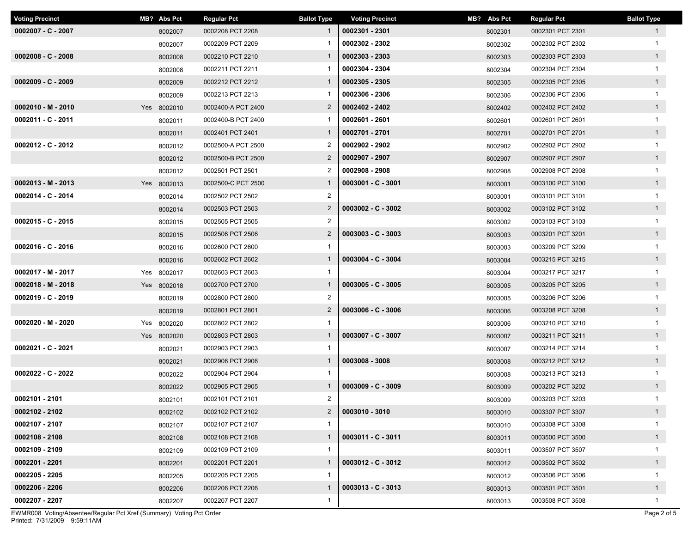| <b>Voting Precinct</b> | MB? Abs Pct | <b>Regular Pct</b> | <b>Ballot Type</b> | <b>Voting Precinct</b> | MB? Abs Pct | <b>Regular Pct</b> | <b>Ballot Type</b> |
|------------------------|-------------|--------------------|--------------------|------------------------|-------------|--------------------|--------------------|
| $0002007 - C - 2007$   | 8002007     | 0002208 PCT 2208   |                    | 0002301 - 2301         | 8002301     | 0002301 PCT 2301   | $\mathbf{1}$       |
|                        | 8002007     | 0002209 PCT 2209   |                    | 0002302 - 2302         | 8002302     | 0002302 PCT 2302   | $\mathbf{1}$       |
| $0002008 - C - 2008$   | 8002008     | 0002210 PCT 2210   | $\mathbf{1}$       | 0002303 - 2303         | 8002303     | 0002303 PCT 2303   | $\mathbf{1}$       |
|                        | 8002008     | 0002211 PCT 2211   |                    | 0002304 - 2304         | 8002304     | 0002304 PCT 2304   | $\mathbf{1}$       |
| $0002009 - C - 2009$   | 8002009     | 0002212 PCT 2212   | $\mathbf{1}$       | 0002305 - 2305         | 8002305     | 0002305 PCT 2305   | 1                  |
|                        | 8002009     | 0002213 PCT 2213   |                    | 0002306 - 2306         | 8002306     | 0002306 PCT 2306   | $\mathbf{1}$       |
| $0002010 - M - 2010$   | Yes 8002010 | 0002400-A PCT 2400 | $\overline{2}$     | 0002402 - 2402         | 8002402     | 0002402 PCT 2402   | $\mathbf{1}$       |
| 0002011 - C - 2011     | 8002011     | 0002400-B PCT 2400 |                    | 0002601 - 2601         | 8002601     | 0002601 PCT 2601   | $\mathbf{1}$       |
|                        | 8002011     | 0002401 PCT 2401   | $\mathbf{1}$       | 0002701 - 2701         | 8002701     | 0002701 PCT 2701   | $\mathbf{1}$       |
| $0002012 - C - 2012$   | 8002012     | 0002500-A PCT 2500 | $\overline{2}$     | 0002902 - 2902         | 8002902     | 0002902 PCT 2902   | $\mathbf{1}$       |
|                        | 8002012     | 0002500-B PCT 2500 | $\overline{2}$     | 0002907 - 2907         | 8002907     | 0002907 PCT 2907   | $\mathbf{1}$       |
|                        | 8002012     | 0002501 PCT 2501   | $\overline{2}$     | 0002908 - 2908         | 8002908     | 0002908 PCT 2908   | $\mathbf{1}$       |
| $0002013 - M - 2013$   | Yes 8002013 | 0002500-C PCT 2500 |                    | $0003001 - C - 3001$   | 8003001     | 0003100 PCT 3100   | 1                  |
| 0002014 - C - 2014     | 8002014     | 0002502 PCT 2502   | $\overline{2}$     |                        | 8003001     | 0003101 PCT 3101   | $\mathbf{1}$       |
|                        | 8002014     | 0002503 PCT 2503   | $\overline{2}$     | $0003002 - C - 3002$   | 8003002     | 0003102 PCT 3102   | $\mathbf{1}$       |
| $0002015 - C - 2015$   | 8002015     | 0002505 PCT 2505   | $\overline{2}$     |                        | 8003002     | 0003103 PCT 3103   | $\mathbf{1}$       |
|                        | 8002015     | 0002506 PCT 2506   | $\overline{2}$     | $0003003 - C - 3003$   | 8003003     | 0003201 PCT 3201   | $\mathbf{1}$       |
| $0002016 - C - 2016$   | 8002016     | 0002600 PCT 2600   | $\mathbf{1}$       |                        | 8003003     | 0003209 PCT 3209   | $\mathbf{1}$       |
|                        | 8002016     | 0002602 PCT 2602   | $\mathbf{1}$       | $0003004 - C - 3004$   | 8003004     | 0003215 PCT 3215   | $\mathbf{1}$       |
| 0002017 - M - 2017     | Yes 8002017 | 0002603 PCT 2603   |                    |                        | 8003004     | 0003217 PCT 3217   | $\mathbf{1}$       |
| $0002018 - M - 2018$   | Yes 8002018 | 0002700 PCT 2700   | $\overline{1}$     | $0003005 - C - 3005$   | 8003005     | 0003205 PCT 3205   | $\mathbf{1}$       |
| $0002019 - C - 2019$   | 8002019     | 0002800 PCT 2800   | $\overline{2}$     |                        | 8003005     | 0003206 PCT 3206   | $\mathbf{1}$       |
|                        | 8002019     | 0002801 PCT 2801   | $\overline{2}$     | $0003006 - C - 3006$   | 8003006     | 0003208 PCT 3208   | $\mathbf{1}$       |
| 0002020 - M - 2020     | Yes 8002020 | 0002802 PCT 2802   |                    |                        | 8003006     | 0003210 PCT 3210   | $\mathbf{1}$       |
|                        | Yes 8002020 | 0002803 PCT 2803   |                    | $0003007 - C - 3007$   | 8003007     | 0003211 PCT 3211   | 1                  |
| 0002021 - C - 2021     | 8002021     | 0002903 PCT 2903   | -1                 |                        | 8003007     | 0003214 PCT 3214   | $\mathbf{1}$       |
|                        | 8002021     | 0002906 PCT 2906   |                    | 0003008 - 3008         | 8003008     | 0003212 PCT 3212   | $\mathbf{1}$       |
| $0002022 - C - 2022$   | 8002022     | 0002904 PCT 2904   | -1                 |                        | 8003008     | 0003213 PCT 3213   | $\mathbf{1}$       |
|                        | 8002022     | 0002905 PCT 2905   | $\mathbf{1}$       | $0003009 - C - 3009$   | 8003009     | 0003202 PCT 3202   | $\mathbf{1}$       |
| 0002101 - 2101         | 8002101     | 0002101 PCT 2101   | $\overline{2}$     |                        | 8003009     | 0003203 PCT 3203   | $\mathbf{1}$       |
| $0002102 - 2102$       | 8002102     | 0002102 PCT 2102   | $\overline{2}$     | 0003010 - 3010         | 8003010     | 0003307 PCT 3307   | $\mathbf{1}$       |
| 0002107 - 2107         | 8002107     | 0002107 PCT 2107   |                    |                        | 8003010     | 0003308 PCT 3308   | 1                  |
| 0002108 - 2108         | 8002108     | 0002108 PCT 2108   | $\mathbf{1}$       | $0003011 - C - 3011$   | 8003011     | 0003500 PCT 3500   | $\mathbf{1}$       |
| 0002109 - 2109         | 8002109     | 0002109 PCT 2109   | $\mathbf{1}$       |                        | 8003011     | 0003507 PCT 3507   | $\mathbf{1}$       |
| 0002201 - 2201         | 8002201     | 0002201 PCT 2201   | $\mathbf{1}$       | $0003012 - C - 3012$   | 8003012     | 0003502 PCT 3502   | $\mathbf{1}$       |
| 0002205 - 2205         | 8002205     | 0002205 PCT 2205   | $\mathbf{1}$       |                        | 8003012     | 0003506 PCT 3506   | $\mathbf{1}$       |
| 0002206 - 2206         | 8002206     | 0002206 PCT 2206   | $\mathbf{1}$       | $0003013 - C - 3013$   | 8003013     | 0003501 PCT 3501   | 1                  |
| 0002207 - 2207         | 8002207     | 0002207 PCT 2207   | $\mathbf{1}$       |                        | 8003013     | 0003508 PCT 3508   | $\mathbf{1}$       |

Printed: 7/31/2009 9:59:11AM EWMR008 Voting/Absentee/Regular Pct Xref (Summary) Voting Pct Order Page 2 of 5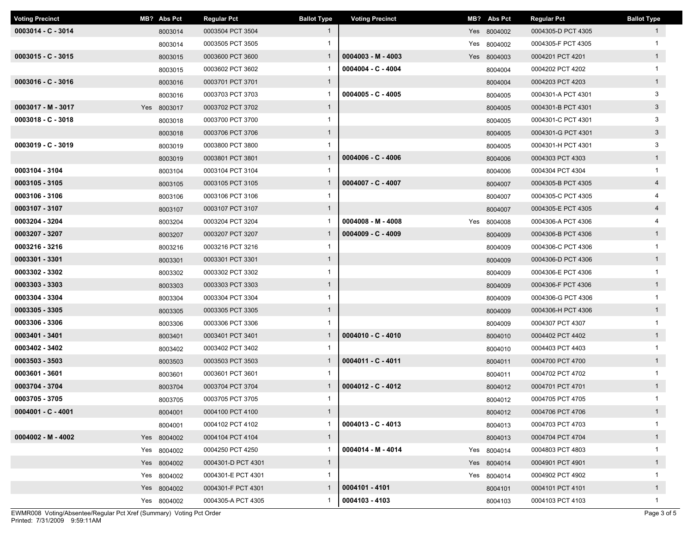| <b>Voting Precinct</b> | MB? Abs Pct | <b>Regular Pct</b> | <b>Ballot Type</b> | <b>Voting Precinct</b> | MB? Abs Pct | <b>Regular Pct</b> | <b>Ballot Type</b> |
|------------------------|-------------|--------------------|--------------------|------------------------|-------------|--------------------|--------------------|
| $0003014 - C - 3014$   | 8003014     | 0003504 PCT 3504   | $\mathbf{1}$       |                        | Yes 8004002 | 0004305-D PCT 4305 | $\mathbf{1}$       |
|                        | 8003014     | 0003505 PCT 3505   | $\mathbf{1}$       |                        | Yes 8004002 | 0004305-F PCT 4305 | $\mathbf{1}$       |
| $0003015 - C - 3015$   | 8003015     | 0003600 PCT 3600   | $\mathbf{1}$       | $0004003 - M - 4003$   | Yes 8004003 | 0004201 PCT 4201   | $\mathbf{1}$       |
|                        | 8003015     | 0003602 PCT 3602   |                    | $0004004 - C - 4004$   | 8004004     | 0004202 PCT 4202   | $\mathbf{1}$       |
| $0003016 - C - 3016$   | 8003016     | 0003701 PCT 3701   | $\mathbf{1}$       |                        | 8004004     | 0004203 PCT 4203   | $\mathbf{1}$       |
|                        | 8003016     | 0003703 PCT 3703   | -1                 | $0004005 - C - 4005$   | 8004005     | 0004301-A PCT 4301 | 3                  |
| $0003017 - M - 3017$   | Yes 8003017 | 0003702 PCT 3702   | $\mathbf{1}$       |                        | 8004005     | 0004301-B PCT 4301 | $\mathbf{3}$       |
| $0003018 - C - 3018$   | 8003018     | 0003700 PCT 3700   | $\mathbf{1}$       |                        | 8004005     | 0004301-C PCT 4301 | 3                  |
|                        | 8003018     | 0003706 PCT 3706   | $\mathbf{1}$       |                        | 8004005     | 0004301-G PCT 4301 | $\mathbf{3}$       |
| $0003019 - C - 3019$   | 8003019     | 0003800 PCT 3800   |                    |                        | 8004005     | 0004301-H PCT 4301 | 3                  |
|                        | 8003019     | 0003801 PCT 3801   | $\mathbf{1}$       | $0004006 - C - 4006$   | 8004006     | 0004303 PCT 4303   | $\mathbf{1}$       |
| 0003104 - 3104         | 8003104     | 0003104 PCT 3104   | 1                  |                        | 8004006     | 0004304 PCT 4304   | $\mathbf{1}$       |
| 0003105 - 3105         | 8003105     | 0003105 PCT 3105   | $\mathbf{1}$       | $0004007 - C - 4007$   | 8004007     | 0004305-B PCT 4305 | $\overline{4}$     |
| 0003106 - 3106         | 8003106     | 0003106 PCT 3106   | $\mathbf{1}$       |                        | 8004007     | 0004305-C PCT 4305 |                    |
| 0003107 - 3107         | 8003107     | 0003107 PCT 3107   | $\mathbf{1}$       |                        | 8004007     | 0004305-E PCT 4305 | $\overline{4}$     |
| 0003204 - 3204         | 8003204     | 0003204 PCT 3204   |                    | $0004008 - M - 4008$   | Yes 8004008 | 0004306-A PCT 4306 |                    |
| 0003207 - 3207         | 8003207     | 0003207 PCT 3207   | $\mathbf{1}$       | $0004009 - C - 4009$   | 8004009     | 0004306-B PCT 4306 | $\mathbf{1}$       |
| 0003216 - 3216         | 8003216     | 0003216 PCT 3216   | 1                  |                        | 8004009     | 0004306-C PCT 4306 | $\mathbf{1}$       |
| 0003301 - 3301         | 8003301     | 0003301 PCT 3301   | $\mathbf{1}$       |                        | 8004009     | 0004306-D PCT 4306 | $\mathbf{1}$       |
| 0003302 - 3302         | 8003302     | 0003302 PCT 3302   | $\mathbf{1}$       |                        | 8004009     | 0004306-E PCT 4306 | $\mathbf{1}$       |
| 0003303 - 3303         | 8003303     | 0003303 PCT 3303   | $\mathbf{1}$       |                        | 8004009     | 0004306-F PCT 4306 | $\mathbf{1}$       |
| 0003304 - 3304         | 8003304     | 0003304 PCT 3304   | $\mathbf{1}$       |                        | 8004009     | 0004306-G PCT 4306 | $\mathbf{1}$       |
| 0003305 - 3305         | 8003305     | 0003305 PCT 3305   | $\mathbf{1}$       |                        | 8004009     | 0004306-H PCT 4306 | $\mathbf{1}$       |
| 0003306 - 3306         | 8003306     | 0003306 PCT 3306   | $\mathbf{1}$       |                        | 8004009     | 0004307 PCT 4307   | $\mathbf{1}$       |
| 0003401 - 3401         | 8003401     | 0003401 PCT 3401   | $\mathbf{1}$       | $0004010 - C - 4010$   | 8004010     | 0004402 PCT 4402   | $\mathbf{1}$       |
| 0003402 - 3402         | 8003402     | 0003402 PCT 3402   | -1                 |                        | 8004010     | 0004403 PCT 4403   | $\mathbf{1}$       |
| 0003503 - 3503         | 8003503     | 0003503 PCT 3503   |                    | 0004011 - C - 4011     | 8004011     | 0004700 PCT 4700   | $\mathbf{1}$       |
| 0003601 - 3601         | 8003601     | 0003601 PCT 3601   | -1                 |                        | 8004011     | 0004702 PCT 4702   | $\mathbf{1}$       |
| 0003704 - 3704         | 8003704     | 0003704 PCT 3704   | $\mathbf{1}$       | $0004012 - C - 4012$   | 8004012     | 0004701 PCT 4701   | $\mathbf{1}$       |
| 0003705 - 3705         | 8003705     | 0003705 PCT 3705   | 1                  |                        | 8004012     | 0004705 PCT 4705   | $\mathbf{1}$       |
| $0004001 - C - 4001$   | 8004001     | 0004100 PCT 4100   | $\mathbf{1}$       |                        | 8004012     | 0004706 PCT 4706   | $\mathbf{1}$       |
|                        | 8004001     | 0004102 PCT 4102   | $\mathbf{1}$       | $0004013 - C - 4013$   | 8004013     | 0004703 PCT 4703   | $\mathbf{1}$       |
| $0004002 - M - 4002$   | Yes 8004002 | 0004104 PCT 4104   | $\mathbf{1}$       |                        | 8004013     | 0004704 PCT 4704   | $\mathbf{1}$       |
|                        | Yes 8004002 | 0004250 PCT 4250   | $\mathbf{1}$       | 0004014 - M - 4014     | Yes 8004014 | 0004803 PCT 4803   | $\mathbf{1}$       |
|                        | Yes 8004002 | 0004301-D PCT 4301 | $\mathbf{1}$       |                        | Yes 8004014 | 0004901 PCT 4901   | $\mathbf{1}$       |
|                        | Yes 8004002 | 0004301-E PCT 4301 | $\mathbf{1}$       |                        | Yes 8004014 | 0004902 PCT 4902   | $\mathbf{1}$       |
|                        | Yes 8004002 | 0004301-F PCT 4301 | $\mathbf{1}$       | 0004101 - 4101         | 8004101     | 0004101 PCT 4101   | $\mathbf{1}$       |
|                        | Yes 8004002 | 0004305-A PCT 4305 | -1                 | 0004103 - 4103         | 8004103     | 0004103 PCT 4103   | $\mathbf{1}$       |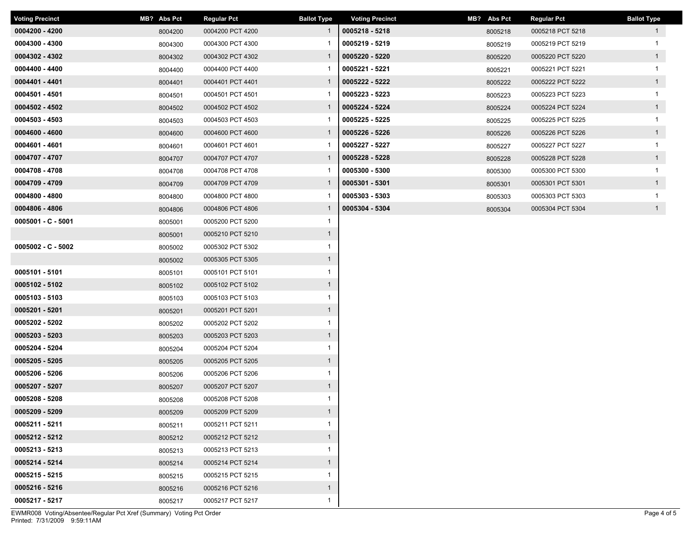| <b>Voting Precinct</b> | MB? Abs Pct | <b>Regular Pct</b> | <b>Ballot Type</b> | <b>Voting Precinct</b> | MB? Abs Pct | <b>Regular Pct</b> | <b>Ballot Type</b> |
|------------------------|-------------|--------------------|--------------------|------------------------|-------------|--------------------|--------------------|
| 0004200 - 4200         | 8004200     | 0004200 PCT 4200   | $\mathbf{1}$       | 0005218 - 5218         | 8005218     | 0005218 PCT 5218   | $\mathbf{1}$       |
| 0004300 - 4300         | 8004300     | 0004300 PCT 4300   |                    | 0005219 - 5219         | 8005219     | 0005219 PCT 5219   | $\mathbf 1$        |
| 0004302 - 4302         | 8004302     | 0004302 PCT 4302   | $\mathbf{1}$       | 0005220 - 5220         | 8005220     | 0005220 PCT 5220   | $\overline{1}$     |
| 0004400 - 4400         | 8004400     | 0004400 PCT 4400   | -1                 | 0005221 - 5221         | 8005221     | 0005221 PCT 5221   | $\mathbf{1}$       |
| 0004401 - 4401         | 8004401     | 0004401 PCT 4401   | $\mathbf{1}$       | 0005222 - 5222         | 8005222     | 0005222 PCT 5222   | $\mathbf{1}$       |
| 0004501 - 4501         | 8004501     | 0004501 PCT 4501   | 1                  | 0005223 - 5223         | 8005223     | 0005223 PCT 5223   | $\mathbf{1}$       |
| 0004502 - 4502         | 8004502     | 0004502 PCT 4502   | $\mathbf{1}$       | 0005224 - 5224         | 8005224     | 0005224 PCT 5224   | 1                  |
| 0004503 - 4503         | 8004503     | 0004503 PCT 4503   | 1                  | 0005225 - 5225         | 8005225     | 0005225 PCT 5225   | $\mathbf{1}$       |
| 0004600 - 4600         | 8004600     | 0004600 PCT 4600   | $\mathbf{1}$       | 0005226 - 5226         | 8005226     | 0005226 PCT 5226   | $\overline{1}$     |
| 0004601 - 4601         | 8004601     | 0004601 PCT 4601   | -1                 | 0005227 - 5227         | 8005227     | 0005227 PCT 5227   | $\mathbf{1}$       |
| 0004707 - 4707         | 8004707     | 0004707 PCT 4707   | $\mathbf{1}$       | 0005228 - 5228         | 8005228     | 0005228 PCT 5228   | $\mathbf{1}$       |
| 0004708 - 4708         | 8004708     | 0004708 PCT 4708   |                    | 0005300 - 5300         | 8005300     | 0005300 PCT 5300   | $\mathbf{1}$       |
| 0004709 - 4709         | 8004709     | 0004709 PCT 4709   | $\mathbf{1}$       | 0005301 - 5301         | 8005301     | 0005301 PCT 5301   | 1                  |
| 0004800 - 4800         | 8004800     | 0004800 PCT 4800   |                    | 0005303 - 5303         | 8005303     | 0005303 PCT 5303   | $\mathbf{1}$       |
| 0004806 - 4806         | 8004806     | 0004806 PCT 4806   | $\mathbf{1}$       | 0005304 - 5304         | 8005304     | 0005304 PCT 5304   | $\overline{1}$     |
| $0005001 - C - 5001$   | 8005001     | 0005200 PCT 5200   | $\mathbf{1}$       |                        |             |                    |                    |
|                        | 8005001     | 0005210 PCT 5210   | $\mathbf{1}$       |                        |             |                    |                    |
| $0005002 - C - 5002$   | 8005002     | 0005302 PCT 5302   | $\mathbf{1}$       |                        |             |                    |                    |
|                        | 8005002     | 0005305 PCT 5305   | $\mathbf{1}$       |                        |             |                    |                    |
| 0005101 - 5101         | 8005101     | 0005101 PCT 5101   | $\mathbf{1}$       |                        |             |                    |                    |
| 0005102 - 5102         | 8005102     | 0005102 PCT 5102   | $\mathbf{1}$       |                        |             |                    |                    |
| 0005103 - 5103         | 8005103     | 0005103 PCT 5103   | $\mathbf{1}$       |                        |             |                    |                    |
| 0005201 - 5201         | 8005201     | 0005201 PCT 5201   | $\mathbf{1}$       |                        |             |                    |                    |
| 0005202 - 5202         | 8005202     | 0005202 PCT 5202   | 1                  |                        |             |                    |                    |
| 0005203 - 5203         | 8005203     | 0005203 PCT 5203   | $\mathbf{1}$       |                        |             |                    |                    |
| 0005204 - 5204         | 8005204     | 0005204 PCT 5204   | 1                  |                        |             |                    |                    |
| 0005205 - 5205         | 8005205     | 0005205 PCT 5205   | $\mathbf{1}$       |                        |             |                    |                    |
| 0005206 - 5206         | 8005206     | 0005206 PCT 5206   | $\mathbf{1}$       |                        |             |                    |                    |
| 0005207 - 5207         | 8005207     | 0005207 PCT 5207   | $\mathbf{1}$       |                        |             |                    |                    |
| 0005208 - 5208         | 8005208     | 0005208 PCT 5208   | $\mathbf{1}$       |                        |             |                    |                    |
| 0005209 - 5209         | 8005209     | 0005209 PCT 5209   | $\mathbf{1}$       |                        |             |                    |                    |
| 0005211 - 5211         | 8005211     | 0005211 PCT 5211   | $\mathbf{1}$       |                        |             |                    |                    |
| 0005212 - 5212         | 8005212     | 0005212 PCT 5212   | $\mathbf{1}$       |                        |             |                    |                    |
| 0005213 - 5213         | 8005213     | 0005213 PCT 5213   | $\mathbf{1}$       |                        |             |                    |                    |
| 0005214 - 5214         | 8005214     | 0005214 PCT 5214   | $\mathbf{1}$       |                        |             |                    |                    |
| 0005215 - 5215         | 8005215     | 0005215 PCT 5215   | $\mathbf{1}$       |                        |             |                    |                    |
| 0005216 - 5216         | 8005216     | 0005216 PCT 5216   | $\mathbf{1}$       |                        |             |                    |                    |
| 0005217 - 5217         | 8005217     | 0005217 PCT 5217   | $\mathbf{1}$       |                        |             |                    |                    |